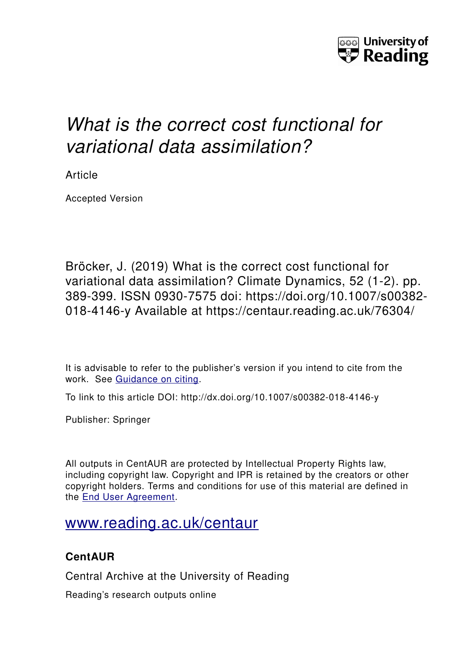

# *What is the correct cost functional for variational data assimilation?*

Article

Accepted Version

Bröcker, J. (2019) What is the correct cost functional for variational data assimilation? Climate Dynamics, 52 (1-2). pp. 389-399. ISSN 0930-7575 doi: https://doi.org/10.1007/s00382- 018-4146-y Available at https://centaur.reading.ac.uk/76304/

It is advisable to refer to the publisher's version if you intend to cite from the work. See [Guidance on citing.](http://centaur.reading.ac.uk/71187/10/CentAUR%20citing%20guide.pdf)

To link to this article DOI: http://dx.doi.org/10.1007/s00382-018-4146-y

Publisher: Springer

All outputs in CentAUR are protected by Intellectual Property Rights law, including copyright law. Copyright and IPR is retained by the creators or other copyright holders. Terms and conditions for use of this material are defined in the [End User Agreement.](http://centaur.reading.ac.uk/licence)

## [www.reading.ac.uk/centaur](http://www.reading.ac.uk/centaur)

### **CentAUR**

Central Archive at the University of Reading

Reading's research outputs online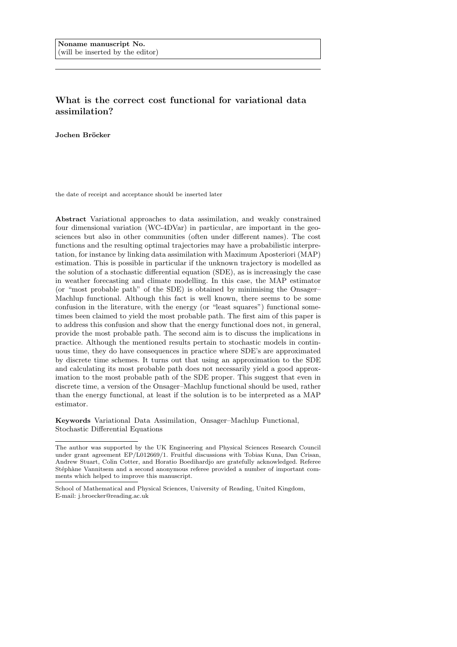### What is the correct cost functional for variational data assimilation?

Jochen Bröcker

the date of receipt and acceptance should be inserted later

Abstract Variational approaches to data assimilation, and weakly constrained four dimensional variation (WC-4DVar) in particular, are important in the geosciences but also in other communities (often under different names). The cost functions and the resulting optimal trajectories may have a probabilistic interpretation, for instance by linking data assimilation with Maximum Aposteriori (MAP) estimation. This is possible in particular if the unknown trajectory is modelled as the solution of a stochastic differential equation (SDE), as is increasingly the case in weather forecasting and climate modelling. In this case, the MAP estimator (or "most probable path" of the SDE) is obtained by minimising the Onsager– Machlup functional. Although this fact is well known, there seems to be some confusion in the literature, with the energy (or "least squares") functional sometimes been claimed to yield the most probable path. The first aim of this paper is to address this confusion and show that the energy functional does not, in general, provide the most probable path. The second aim is to discuss the implications in practice. Although the mentioned results pertain to stochastic models in continuous time, they do have consequences in practice where SDE's are approximated by discrete time schemes. It turns out that using an approximation to the SDE and calculating its most probable path does not necessarily yield a good approximation to the most probable path of the SDE proper. This suggest that even in discrete time, a version of the Onsager–Machlup functional should be used, rather than the energy functional, at least if the solution is to be interpreted as a MAP estimator.

Keywords Variational Data Assimilation, Onsager–Machlup Functional, Stochastic Differential Equations

The author was supported by the UK Engineering and Physical Sciences Research Council under grant agreement EP/L012669/1. Fruitful discussions with Tobias Kuna, Dan Crisan, Andrew Stuart, Colin Cotter, and Horatio Boedihardjo are gratefully acknowledged. Referee Stéphàne Vannitsem and a second anonymous referee provided a number of important comments which helped to improve this manuscript.

School of Mathematical and Physical Sciences, University of Reading, United Kingdom, E-mail: j.broecker@reading.ac.uk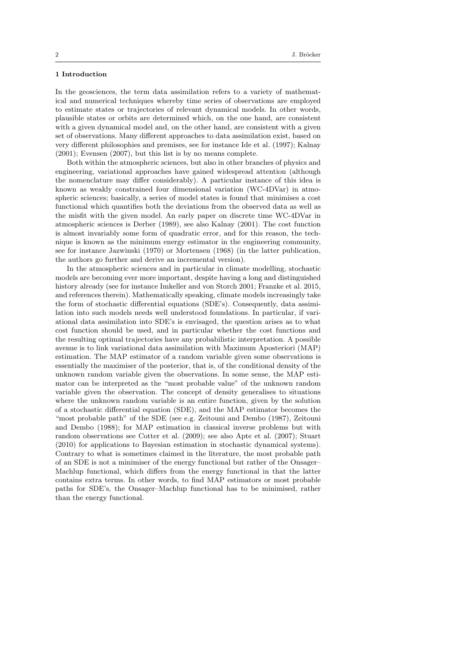#### 1 Introduction

In the geosciences, the term data assimilation refers to a variety of mathematical and numerical techniques whereby time series of observations are employed to estimate states or trajectories of relevant dynamical models. In other words, plausible states or orbits are determined which, on the one hand, are consistent with a given dynamical model and, on the other hand, are consistent with a given set of observations. Many different approaches to data assimilation exist, based on very different philosophies and premises, see for instance Ide et al. (1997); Kalnay (2001); Evensen (2007), but this list is by no means complete.

Both within the atmospheric sciences, but also in other branches of physics and engineering, variational approaches have gained widespread attention (although the nomenclature may differ considerably). A particular instance of this idea is known as weakly constrained four dimensional variation (WC-4DVar) in atmospheric sciences; basically, a series of model states is found that minimises a cost functional which quantifies both the deviations from the observed data as well as the misfit with the given model. An early paper on discrete time WC-4DVar in atmospheric sciences is Derber (1989), see also Kalnay (2001). The cost function is almost invariably some form of quadratic error, and for this reason, the technique is known as the minimum energy estimator in the engineering community, see for instance Jazwinski (1970) or Mortensen (1968) (in the latter publication, the authors go further and derive an incremental version).

In the atmospheric sciences and in particular in climate modelling, stochastic models are becoming ever more important, despite having a long and distinguished history already (see for instance Imkeller and von Storch 2001; Franzke et al. 2015, and references therein). Mathematically speaking, climate models increasingly take the form of stochastic differential equations (SDE's). Consequently, data assimilation into such models needs well understood foundations. In particular, if variational data assimilation into SDE's is envisaged, the question arises as to what cost function should be used, and in particular whether the cost functions and the resulting optimal trajectories have any probabilistic interpretation. A possible avenue is to link variational data assimilation with Maximum Aposteriori (MAP) estimation. The MAP estimator of a random variable given some observations is essentially the maximiser of the posterior, that is, of the conditional density of the unknown random variable given the observations. In some sense, the MAP estimator can be interpreted as the "most probable value" of the unknown random variable given the observation. The concept of density generalises to situations where the unknown random variable is an entire function, given by the solution of a stochastic differential equation (SDE), and the MAP estimator becomes the "most probable path" of the SDE (see e.g. Zeitouni and Dembo (1987), Zeitouni and Dembo (1988); for MAP estimation in classical inverse problems but with random observations see Cotter et al. (2009); see also Apte et al. (2007); Stuart (2010) for applications to Bayesian estimation in stochastic dynamical systems). Contrary to what is sometimes claimed in the literature, the most probable path of an SDE is not a minimiser of the energy functional but rather of the Onsager– Machlup functional, which differs from the energy functional in that the latter contains extra terms. In other words, to find MAP estimators or most probable paths for SDE's, the Onsager–Machlup functional has to be minimised, rather than the energy functional.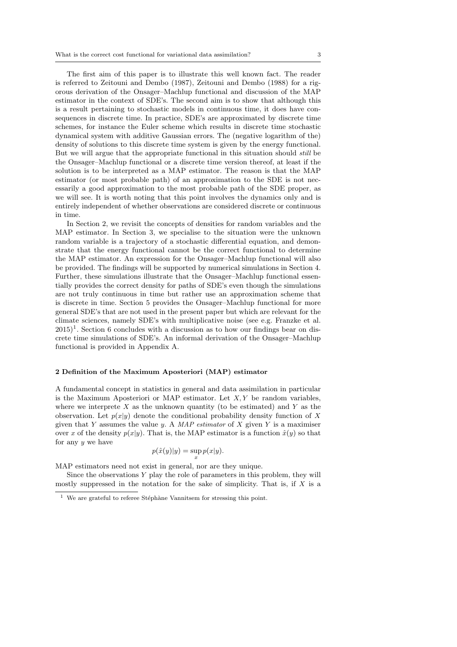The first aim of this paper is to illustrate this well known fact. The reader is referred to Zeitouni and Dembo (1987), Zeitouni and Dembo (1988) for a rigorous derivation of the Onsager–Machlup functional and discussion of the MAP estimator in the context of SDE's. The second aim is to show that although this is a result pertaining to stochastic models in continuous time, it does have consequences in discrete time. In practice, SDE's are approximated by discrete time schemes, for instance the Euler scheme which results in discrete time stochastic dynamical system with additive Gaussian errors. The (negative logarithm of the) density of solutions to this discrete time system is given by the energy functional. But we will argue that the appropriate functional in this situation should still be the Onsager–Machlup functional or a discrete time version thereof, at least if the solution is to be interpreted as a MAP estimator. The reason is that the MAP estimator (or most probable path) of an approximation to the SDE is not necessarily a good approximation to the most probable path of the SDE proper, as we will see. It is worth noting that this point involves the dynamics only and is entirely independent of whether observations are considered discrete or continuous in time.

In Section 2, we revisit the concepts of densities for random variables and the MAP estimator. In Section 3, we specialise to the situation were the unknown random variable is a trajectory of a stochastic differential equation, and demonstrate that the energy functional cannot be the correct functional to determine the MAP estimator. An expression for the Onsager–Machlup functional will also be provided. The findings will be supported by numerical simulations in Section 4. Further, these simulations illustrate that the Onsager–Machlup functional essentially provides the correct density for paths of SDE's even though the simulations are not truly continuous in time but rather use an approximation scheme that is discrete in time. Section 5 provides the Onsager–Machlup functional for more general SDE's that are not used in the present paper but which are relevant for the climate sciences, namely SDE's with multiplicative noise (see e.g. Franzke et al.  $2015$ <sup>1</sup>. Section 6 concludes with a discussion as to how our findings bear on discrete time simulations of SDE's. An informal derivation of the Onsager–Machlup functional is provided in Appendix A.

#### 2 Definition of the Maximum Aposteriori (MAP) estimator

A fundamental concept in statistics in general and data assimilation in particular is the Maximum Aposteriori or MAP estimator. Let  $X, Y$  be random variables, where we interprete  $X$  as the unknown quantity (to be estimated) and  $Y$  as the observation. Let  $p(x|y)$  denote the conditional probability density function of X given that Y assumes the value y. A MAP estimator of X given Y is a maximiser over x of the density  $p(x|y)$ . That is, the MAP estimator is a function  $\hat{x}(y)$  so that for any  $y$  we have

$$
p(\hat{x}(y)|y) = \sup_{x} p(x|y).
$$

MAP estimators need not exist in general, nor are they unique.

Since the observations  $Y$  play the role of parameters in this problem, they will mostly suppressed in the notation for the sake of simplicity. That is, if  $X$  is a

 $1$  We are grateful to referee Stéphàne Vannitsem for stressing this point.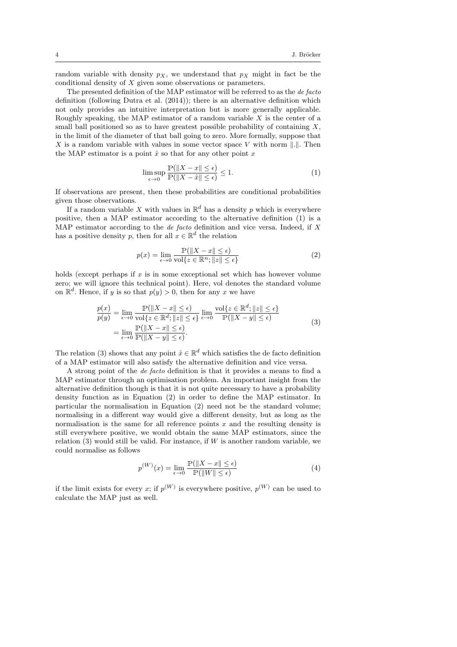random variable with density  $p_X$ , we understand that  $p_X$  might in fact be the conditional density of X given some observations or parameters.

The presented definition of the MAP estimator will be referred to as the de facto definition (following Dutra et al. (2014)); there is an alternative definition which not only provides an intuitive interpretation but is more generally applicable. Roughly speaking, the MAP estimator of a random variable  $X$  is the center of a small ball positioned so as to have greatest possible probability of containing  $X$ , in the limit of the diameter of that ball going to zero. More formally, suppose that X is a random variable with values in some vector space V with norm  $\|.\|$ . Then the MAP estimator is a point  $\hat{x}$  so that for any other point x

$$
\limsup_{\epsilon \to 0} \frac{\mathbb{P}(\|X - x\| \le \epsilon)}{\mathbb{P}(\|X - \hat{x}\| \le \epsilon)} \le 1.
$$
\n(1)

If observations are present, then these probabilities are conditional probabilities given those observations.

If a random variable X with values in  $\mathbb{R}^d$  has a density p which is everywhere positive, then a MAP estimator according to the alternative definition (1) is a MAP estimator according to the *de facto* definition and vice versa. Indeed, if  $X$ has a positive density p, then for all  $x \in \mathbb{R}^d$  the relation

$$
p(x) = \lim_{\epsilon \to 0} \frac{\mathbb{P}(\|X - x\| \le \epsilon)}{\text{vol}\{z \in \mathbb{R}^n; \|z\| \le \epsilon\}}\tag{2}
$$

holds (except perhaps if  $x$  is in some exceptional set which has however volume zero; we will ignore this technical point). Here, vol denotes the standard volume on  $\mathbb{R}^d$ . Hence, if y is so that  $p(y) > 0$ , then for any x we have

$$
\frac{p(x)}{p(y)} = \lim_{\epsilon \to 0} \frac{\mathbb{P}(\|X - x\| \le \epsilon)}{\text{vol}\{z \in \mathbb{R}^d; \|z\| \le \epsilon\}} \lim_{\epsilon \to 0} \frac{\text{vol}\{z \in \mathbb{R}^d; \|z\| \le \epsilon\}}{\mathbb{P}(\|X - y\| \le \epsilon)}
$$
\n
$$
= \lim_{\epsilon \to 0} \frac{\mathbb{P}(\|X - x\| \le \epsilon)}{\mathbb{P}(\|X - y\| \le \epsilon)}.
$$
\n(3)

The relation (3) shows that any point  $\hat{x} \in \mathbb{R}^d$  which satisfies the de facto definition of a MAP estimator will also satisfy the alternative definition and vice versa.

A strong point of the de facto definition is that it provides a means to find a MAP estimator through an optimisation problem. An important insight from the alternative definition though is that it is not quite necessary to have a probability density function as in Equation (2) in order to define the MAP estimator. In particular the normalisation in Equation (2) need not be the standard volume; normalising in a different way would give a different density, but as long as the normalisation is the same for all reference points  $x$  and the resulting density is still everywhere positive, we would obtain the same MAP estimators, since the relation  $(3)$  would still be valid. For instance, if W is another random variable, we could normalise as follows

$$
p^{(W)}(x) = \lim_{\epsilon \to 0} \frac{\mathbb{P}(\|X - x\| \le \epsilon)}{\mathbb{P}(\|W\| \le \epsilon)}\tag{4}
$$

if the limit exists for every x; if  $p^{(W)}$  is everywhere positive,  $p^{(W)}$  can be used to calculate the MAP just as well.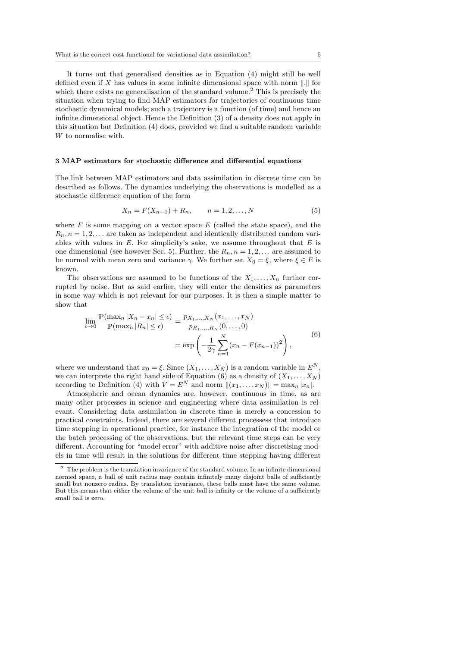It turns out that generalised densities as in Equation (4) might still be well defined even if  $X$  has values in some infinite dimensional space with norm  $\Vert . \Vert$  for which there exists no generalisation of the standard volume.<sup>2</sup> This is precisely the situation when trying to find MAP estimators for trajectories of continuous time stochastic dynamical models; such a trajectory is a function (of time) and hence an infinite dimensional object. Hence the Definition (3) of a density does not apply in this situation but Definition (4) does, provided we find a suitable random variable W to normalise with.

#### 3 MAP estimators for stochastic difference and differential equations

The link between MAP estimators and data assimilation in discrete time can be described as follows. The dynamics underlying the observations is modelled as a stochastic difference equation of the form

$$
X_n = F(X_{n-1}) + R_n, \qquad n = 1, 2, \dots, N
$$
 (5)

where  $F$  is some mapping on a vector space  $E$  (called the state space), and the  $R_n$ ,  $n = 1, 2, \ldots$  are taken as independent and identically distributed random variables with values in  $E$ . For simplicity's sake, we assume throughout that  $E$  is one dimensional (see however Sec. 5). Further, the  $R_n$ ,  $n = 1, 2, \ldots$  are assumed to be normal with mean zero and variance  $\gamma$ . We further set  $X_0 = \xi$ , where  $\xi \in E$  is known.

The observations are assumed to be functions of the  $X_1, \ldots, X_n$  further corrupted by noise. But as said earlier, they will enter the densities as parameters in some way which is not relevant for our purposes. It is then a simple matter to show that

$$
\lim_{\epsilon \to 0} \frac{\mathbb{P}(\max_{n} |X_{n} - x_{n}| \le \epsilon)}{\mathbb{P}(\max_{n} |R_{n}| \le \epsilon)} = \frac{p_{X_{1},...,X_{N}}(x_{1},...,x_{N})}{p_{R_{1},...,R_{N}}(0,...,0)} = \exp\left(-\frac{1}{2\gamma} \sum_{n=1}^{N} (x_{n} - F(x_{n-1}))^{2}\right),
$$
\n(6)

where we understand that  $x_0 = \xi$ . Since  $(X_1, \ldots, X_N)$  is a random variable in  $E^N$ , we can interprete the right hand side of Equation (6) as a density of  $(X_1, \ldots, X_N)$ according to Definition (4) with  $V = E^N$  and norm  $||(x_1, \ldots, x_N)|| = \max_n |x_n|$ .

Atmospheric and ocean dynamics are, however, continuous in time, as are many other processes in science and engineering where data assimilation is relevant. Considering data assimilation in discrete time is merely a concession to practical constraints. Indeed, there are several different processess that introduce time stepping in operational practice, for instance the integration of the model or the batch processing of the observations, but the relevant time steps can be very different. Accounting for "model error" with additive noise after discretising models in time will result in the solutions for different time stepping having different

 $^{\rm 2}\,$  The problem is the translation invariance of the standard volume. In an infinite dimensional normed space, a ball of unit radius may contain infinitely many disjoint balls of sufficiently small but nonzero radius. By translation invariance, these balls must have the same volume. But this means that either the volume of the unit ball is infinity or the volume of a sufficiently small ball is zero.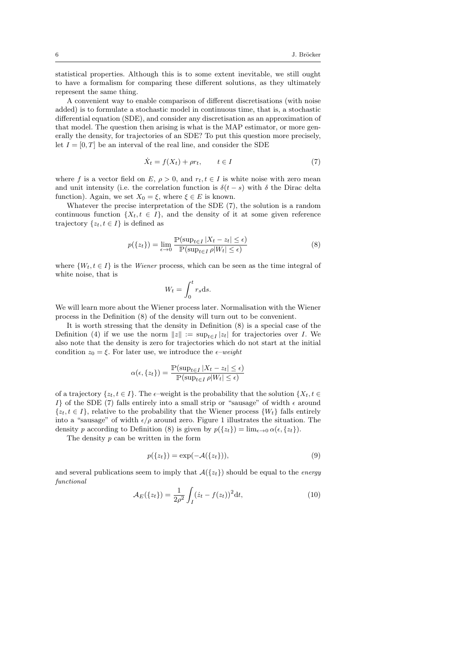statistical properties. Although this is to some extent inevitable, we still ought to have a formalism for comparing these different solutions, as they ultimately represent the same thing.

A convenient way to enable comparison of different discretisations (with noise added) is to formulate a stochastic model in continuous time, that is, a stochastic differential equation (SDE), and consider any discretisation as an approximation of that model. The question then arising is what is the MAP estimator, or more generally the density, for trajectories of an SDE? To put this question more precisely, let  $I = [0, T]$  be an interval of the real line, and consider the SDE

$$
\dot{X}_t = f(X_t) + \rho r_t, \qquad t \in I \tag{7}
$$

where f is a vector field on E,  $\rho > 0$ , and  $r_t, t \in I$  is white noise with zero mean and unit intensity (i.e. the correlation function is  $\delta(t-s)$  with  $\delta$  the Dirac delta function). Again, we set  $X_0 = \xi$ , where  $\xi \in E$  is known.

Whatever the precise interpretation of the SDE (7), the solution is a random continuous function  $\{X_t, t \in I\}$ , and the density of it at some given reference trajectory  $\{z_t, t \in I\}$  is defined as

$$
p({z_t}) = \lim_{\epsilon \to 0} \frac{\mathbb{P}(\sup_{t \in I} |X_t - z_t| \le \epsilon)}{\mathbb{P}(\sup_{t \in I} \rho |W_t| \le \epsilon)} \tag{8}
$$

where  $\{W_t, t \in I\}$  is the Wiener process, which can be seen as the time integral of white noise, that is

$$
W_t = \int_0^t r_s \mathrm{d}s.
$$

We will learn more about the Wiener process later. Normalisation with the Wiener process in the Definition (8) of the density will turn out to be convenient.

It is worth stressing that the density in Definition (8) is a special case of the Definition (4) if we use the norm  $||z|| := \sup_{t \in I} |z_t|$  for trajectories over *I*. We also note that the density is zero for trajectories which do not start at the initial condition  $z_0 = \xi$ . For later use, we introduce the  $\epsilon$ –weight

$$
\alpha(\epsilon, \{z_t\}) = \frac{\mathbb{P}(\sup_{t \in I} |X_t - z_t| \le \epsilon)}{\mathbb{P}(\sup_{t \in I} \rho |W_t| \le \epsilon)}
$$

of a trajectory  $\{z_t, t \in I\}$ . The  $\epsilon$ –weight is the probability that the solution  $\{X_t, t \in$ I} of the SDE (7) falls entirely into a small strip or "sausage" of width  $\epsilon$  around  $\{z_t, t \in I\}$ , relative to the probability that the Wiener process  $\{W_t\}$  falls entirely into a "sausage" of width  $\epsilon/\rho$  around zero. Figure 1 illustrates the situation. The density p according to Definition (8) is given by  $p({z_t}) = \lim_{\epsilon \to 0} \alpha(\epsilon, {z_t}).$ 

The density  $p$  can be written in the form

$$
p({zt}) = \exp(-\mathcal{A}({zt})),
$$
\n(9)

and several publications seem to imply that  $\mathcal{A}(\{z_t\})$  should be equal to the *energy* functional

$$
\mathcal{A}_E(\{z_t\}) = \frac{1}{2\rho^2} \int_I (\dot{z}_t - f(z_t))^2 dt, \tag{10}
$$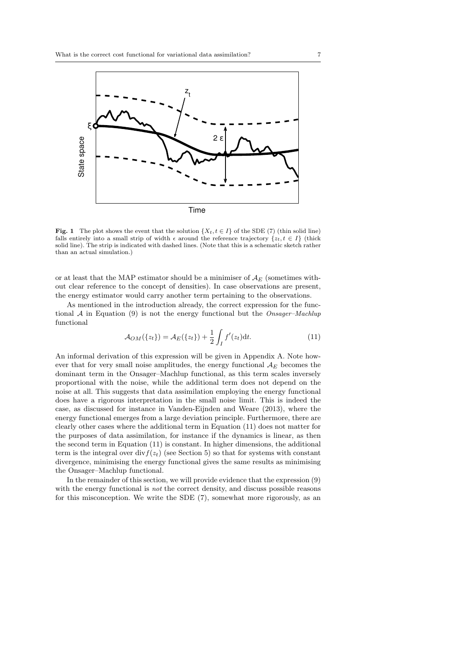

Fig. 1 The plot shows the event that the solution  $\{X_t, t \in I\}$  of the SDE (7) (thin solid line) falls entirely into a small strip of width  $\epsilon$  around the reference trajectory  $\{z_t, t \in I\}$  (thick solid line). The strip is indicated with dashed lines. (Note that this is a schematic sketch rather than an actual simulation.)

or at least that the MAP estimator should be a minimiser of  $A<sub>E</sub>$  (sometimes without clear reference to the concept of densities). In case observations are present, the energy estimator would carry another term pertaining to the observations.

As mentioned in the introduction already, the correct expression for the functional  $A$  in Equation (9) is not the energy functional but the Onsager-Machlup functional

$$
\mathcal{A}_{OM}(\{z_t\}) = \mathcal{A}_E(\{z_t\}) + \frac{1}{2} \int_I f'(z_t) \mathrm{d}t. \tag{11}
$$

An informal derivation of this expression will be given in Appendix A. Note however that for very small noise amplitudes, the energy functional  $A_E$  becomes the dominant term in the Onsager–Machlup functional, as this term scales inversely proportional with the noise, while the additional term does not depend on the noise at all. This suggests that data assimilation employing the energy functional does have a rigorous interpretation in the small noise limit. This is indeed the case, as discussed for instance in Vanden-Eijnden and Weare (2013), where the energy functional emerges from a large deviation principle. Furthermore, there are clearly other cases where the additional term in Equation (11) does not matter for the purposes of data assimilation, for instance if the dynamics is linear, as then the second term in Equation (11) is constant. In higher dimensions, the additional term is the integral over  $div f(z_t)$  (see Section 5) so that for systems with constant divergence, minimising the energy functional gives the same results as minimising the Onsager–Machlup functional.

In the remainder of this section, we will provide evidence that the expression (9) with the energy functional is *not* the correct density, and discuss possible reasons for this misconception. We write the SDE (7), somewhat more rigorously, as an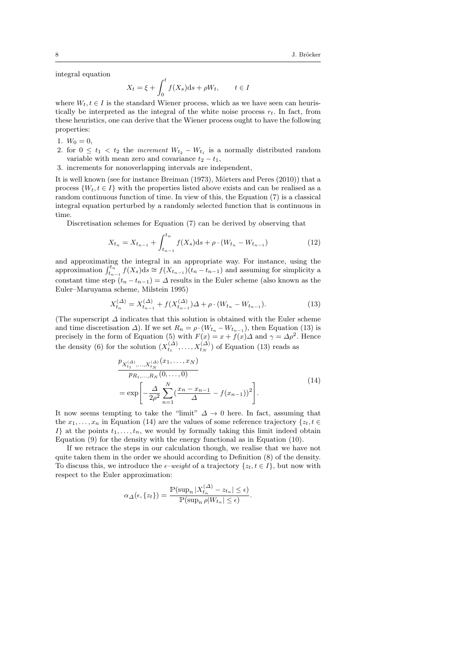integral equation

$$
X_t = \xi + \int_0^t f(X_s)ds + \rho W_t, \qquad t \in I
$$

where  $W_t, t \in I$  is the standard Wiener process, which as we have seen can heuristically be interpreted as the integral of the white noise process  $r_t$ . In fact, from these heuristics, one can derive that the Wiener process ought to have the following properties:

- 1.  $W_0 = 0$ ,
- 2. for  $0 \leq t_1 < t_2$  the *increment*  $W_{t_2} W_{t_1}$  is a normally distributed random variable with mean zero and covariance  $t_2 - t_1$ ,
- 3. increments for nonoverlapping intervals are independent,

It is well known (see for instance Breiman  $(1973)$ , Mörters and Peres  $(2010)$ ) that a process  $\{W_t, t \in I\}$  with the properties listed above exists and can be realised as a random continuous function of time. In view of this, the Equation (7) is a classical integral equation perturbed by a randomly selected function that is continuous in time.

Discretisation schemes for Equation (7) can be derived by observing that

$$
X_{t_n} = X_{t_{n-1}} + \int_{t_{n-1}}^{t_n} f(X_s)ds + \rho \cdot (W_{t_n} - W_{t_{n-1}})
$$
\n(12)

and approximating the integral in an appropriate way. For instance, using the approximation  $\int_{t_{n-1}}^{t_n} f(X_s) ds \cong f(X_{t_{n-1}})(t_n - t_{n-1})$  and assuming for simplicity a constant time step  $(t_n - t_{n-1}) = \Delta$  results in the Euler scheme (also known as the Euler–Maruyama scheme, Milstein 1995)

$$
X_{t_n}^{(\Delta)} = X_{t_{n-1}}^{(\Delta)} + f(X_{t_{n-1}}^{(\Delta)})\Delta + \rho \cdot (W_{t_n} - W_{t_{n-1}}). \tag{13}
$$

(The superscript  $\Delta$  indicates that this solution is obtained with the Euler scheme and time discretisation  $\Delta$ ). If we set  $R_n = \rho \cdot (W_{t_n} - W_{t_{n-1}})$ , then Equation (13) is precisely in the form of Equation (5) with  $F(x) = x + f(x) \Delta$  and  $\gamma = \Delta \rho^2$ . Hence the density (6) for the solution  $(X_{t_1}^{(\Delta)},...,X_{t_N}^{(\Delta)})$  of Equation (13) reads as

$$
\frac{p_{X_{t_1}^{(\Delta)},...,X_{t_N}^{(\Delta)}}(x_1,...,x_N)}{p_{R_1,...,R_N}(0,...,0)}
$$
\n
$$
= \exp\left[-\frac{\Delta}{2\rho^2} \sum_{n=1}^N \left(\frac{x_n - x_{n-1}}{\Delta} - f(x_{n-1})\right)^2\right].
$$
\n(14)

It now seems tempting to take the "limit"  $\Delta \rightarrow 0$  here. In fact, assuming that the  $x_1, \ldots, x_n$  in Equation (14) are the values of some reference trajectory  $\{z_t, t \in$ If at the points  $t_1, \ldots, t_n$ , we would by formally taking this limit indeed obtain Equation (9) for the density with the energy functional as in Equation (10).

If we retrace the steps in our calculation though, we realise that we have not quite taken them in the order we should according to Definition (8) of the density. To discuss this, we introduce the  $\epsilon$ –weight of a trajectory  $\{z_t, t \in I\}$ , but now with respect to the Euler approximation:

$$
\alpha_{\Delta}(\epsilon, \{z_{t}\}) = \frac{\mathbb{P}(\sup_n |X_{t_n}^{(\Delta)} - z_{t_n}| \leq \epsilon)}{\mathbb{P}(\sup_n \rho |W_{t_n}| \leq \epsilon)}.
$$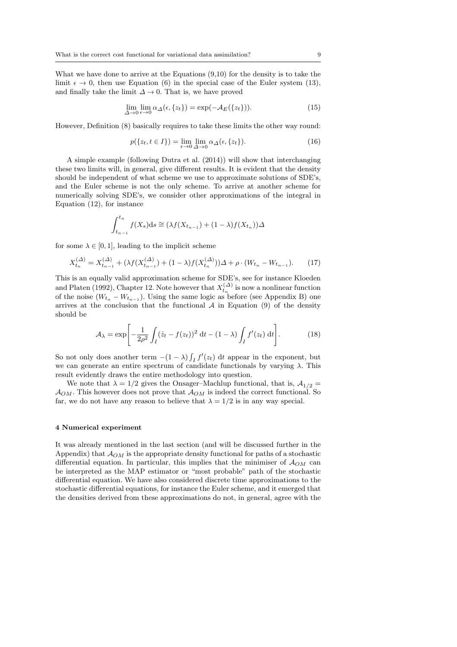What we have done to arrive at the Equations (9,10) for the density is to take the limit  $\epsilon \to 0$ , then use Equation (6) in the special case of the Euler system (13), and finally take the limit  $\Delta \to 0$ . That is, we have proved

$$
\lim_{\Delta \to 0} \lim_{\epsilon \to 0} \alpha_{\Delta}(\epsilon, \{z_t\}) = \exp(-\mathcal{A}_E(\{z_t\})).
$$
\n(15)

However, Definition (8) basically requires to take these limits the other way round:

$$
p({z_t, t \in I}) = \lim_{\epsilon \to 0} \lim_{\Delta \to 0} \alpha_{\Delta}(\epsilon, {z_t}).
$$
\n(16)

A simple example (following Dutra et al. (2014)) will show that interchanging these two limits will, in general, give different results. It is evident that the density should be independent of what scheme we use to approximate solutions of SDE's, and the Euler scheme is not the only scheme. To arrive at another scheme for numerically solving SDE's, we consider other approximations of the integral in Equation (12), for instance

$$
\int_{t_{n-1}}^{t_n} f(X_s)ds \cong (\lambda f(X_{t_{n-1}}) + (1-\lambda)f(X_{t_n}))\Delta
$$

for some  $\lambda \in [0, 1]$ , leading to the implicit scheme

$$
X_{t_n}^{(\Delta)} = X_{t_{n-1}}^{(\Delta)} + (\lambda f(X_{t_{n-1}}^{(\Delta)}) + (1 - \lambda)f(X_{t_n}^{(\Delta)}))\Delta + \rho \cdot (W_{t_n} - W_{t_{n-1}}). \tag{17}
$$

This is an equally valid approximation scheme for SDE's, see for instance Kloeden and Platen (1992), Chapter 12. Note however that  $X_{t_n}^{(\Delta)}$  is now a nonlinear function of the noise  $(W_{t_n} - W_{t_{n-1}})$ . Using the same logic as before (see Appendix B) one arrives at the conclusion that the functional  $A$  in Equation (9) of the density should be

$$
\mathcal{A}_{\lambda} = \exp\left[-\frac{1}{2\rho^2} \int_I (\dot{z}_t - f(z_t))^2 dt - (1 - \lambda) \int_I f'(z_t) dt\right].
$$
 (18)

So not only does another term  $-(1 - \lambda) \int_I f'(z_t) dt$  appear in the exponent, but we can generate an entire spectrum of candidate functionals by varying  $\lambda$ . This result evidently draws the entire methodology into question.

We note that  $\lambda = 1/2$  gives the Onsager–Machlup functional, that is,  $A_{1/2} =$  $\mathcal{A}_{OM}$ . This however does not prove that  $\mathcal{A}_{OM}$  is indeed the correct functional. So far, we do not have any reason to believe that  $\lambda = 1/2$  is in any way special.

#### 4 Numerical experiment

It was already mentioned in the last section (and will be discussed further in the Appendix) that  $A_{OM}$  is the appropriate density functional for paths of a stochastic differential equation. In particular, this implies that the minimiser of  $A_{OM}$  can be interpreted as the MAP estimator or "most probable" path of the stochastic differential equation. We have also considered discrete time approximations to the stochastic differential equations, for instance the Euler scheme, and it emerged that the densities derived from these approximations do not, in general, agree with the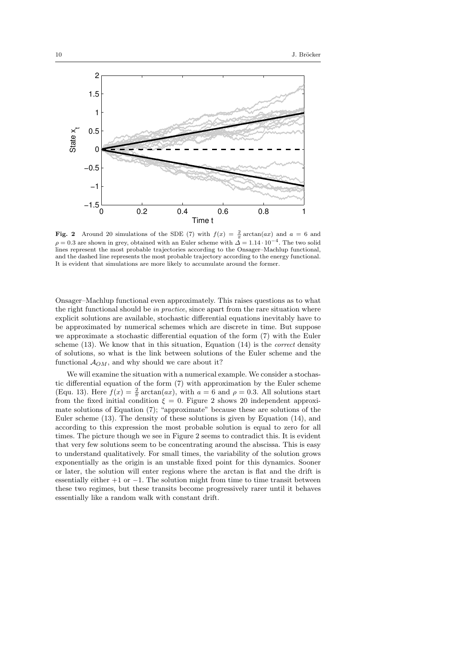

Fig. 2 Around 20 simulations of the SDE (7) with  $f(x) = \frac{2}{\pi} \arctan(ax)$  and  $a = 6$  and  $\rho = 0.3$  are shown in grey, obtained with an Euler scheme with  $\hat{\Delta} = 1.14 \cdot 10^{-4}$ . The two solid lines represent the most probable trajectories according to the Onsager–Machlup functional, and the dashed line represents the most probable trajectory according to the energy functional. It is evident that simulations are more likely to accumulate around the former.

Onsager–Machlup functional even approximately. This raises questions as to what the right functional should be in practice, since apart from the rare situation where explicit solutions are available, stochastic differential equations inevitably have to be approximated by numerical schemes which are discrete in time. But suppose we approximate a stochastic differential equation of the form (7) with the Euler scheme  $(13)$ . We know that in this situation, Equation  $(14)$  is the *correct* density of solutions, so what is the link between solutions of the Euler scheme and the functional  $A_{OM}$ , and why should we care about it?

We will examine the situation with a numerical example. We consider a stochastic differential equation of the form (7) with approximation by the Euler scheme (Equ. 13). Here  $f(x) = \frac{2}{\pi} \arctan(ax)$ , with  $a = 6$  and  $\rho = 0.3$ . All solutions start from the fixed initial condition  $\xi = 0$ . Figure 2 shows 20 independent approximate solutions of Equation (7); "approximate" because these are solutions of the Euler scheme (13). The density of these solutions is given by Equation (14), and according to this expression the most probable solution is equal to zero for all times. The picture though we see in Figure 2 seems to contradict this. It is evident that very few solutions seem to be concentrating around the abscissa. This is easy to understand qualitatively. For small times, the variability of the solution grows exponentially as the origin is an unstable fixed point for this dynamics. Sooner or later, the solution will enter regions where the arctan is flat and the drift is essentially either  $+1$  or  $-1$ . The solution might from time to time transit between these two regimes, but these transits become progressively rarer until it behaves essentially like a random walk with constant drift.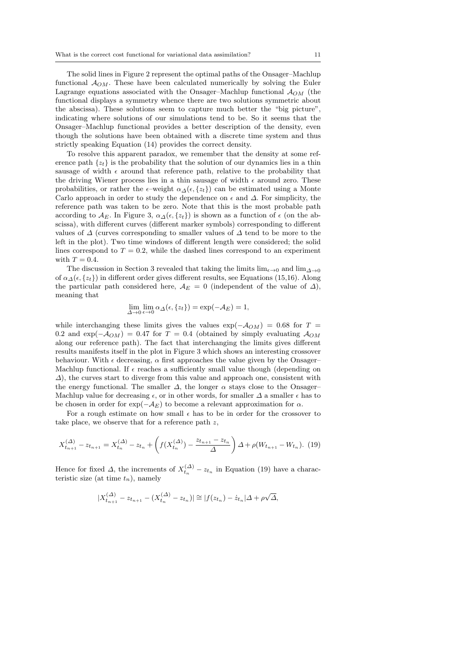The solid lines in Figure 2 represent the optimal paths of the Onsager–Machlup functional  $A_{OM}$ . These have been calculated numerically by solving the Euler Lagrange equations associated with the Onsager–Machlup functional  $A_{OM}$  (the functional displays a symmetry whence there are two solutions symmetric about the abscissa). These solutions seem to capture much better the "big picture", indicating where solutions of our simulations tend to be. So it seems that the Onsager–Machlup functional provides a better description of the density, even though the solutions have been obtained with a discrete time system and thus strictly speaking Equation (14) provides the correct density.

To resolve this apparent paradox, we remember that the density at some reference path  $\{z_t\}$  is the probability that the solution of our dynamics lies in a thin sausage of width  $\epsilon$  around that reference path, relative to the probability that the driving Wiener process lies in a thin sausage of width  $\epsilon$  around zero. These probabilities, or rather the  $\epsilon$ –weight  $\alpha_{\Delta}(\epsilon, \{z_t\})$  can be estimated using a Monte Carlo approach in order to study the dependence on  $\epsilon$  and  $\Delta$ . For simplicity, the reference path was taken to be zero. Note that this is the most probable path according to  $\mathcal{A}_E$ . In Figure 3,  $\alpha_A(\epsilon, \{z_t\})$  is shown as a function of  $\epsilon$  (on the abscissa), with different curves (different marker symbols) corresponding to different values of  $\Delta$  (curves corresponding to smaller values of  $\Delta$  tend to be more to the left in the plot). Two time windows of different length were considered; the solid lines correspond to  $T = 0.2$ , while the dashed lines correspond to an experiment with  $T = 0.4$ .

The discussion in Section 3 revealed that taking the limits  $\lim_{\epsilon \to 0}$  and  $\lim_{\Delta \to 0}$ of  $\alpha_\Delta(\epsilon, \{z_t\})$  in different order gives different results, see Equations (15,16). Along the particular path considered here,  $A_E = 0$  (independent of the value of  $\Delta$ ), meaning that

$$
\lim_{\Delta \to 0} \lim_{\epsilon \to 0} \alpha_{\Delta}(\epsilon, \{z_t\}) = \exp(-\mathcal{A}_E) = 1,
$$

while interchanging these limits gives the values  $\exp(-A_{OM}) = 0.68$  for  $T =$ 0.2 and  $\exp(-A_{OM}) = 0.47$  for  $T = 0.4$  (obtained by simply evaluating  $A_{OM}$ ) along our reference path). The fact that interchanging the limits gives different results manifests itself in the plot in Figure 3 which shows an interesting crossover behaviour. With  $\epsilon$  decreasing,  $\alpha$  first approaches the value given by the Onsager– Machlup functional. If  $\epsilon$  reaches a sufficiently small value though (depending on  $\Delta$ ), the curves start to diverge from this value and approach one, consistent with the energy functional. The smaller  $\Delta$ , the longer  $\alpha$  stays close to the Onsager– Machlup value for decreasing  $\epsilon$ , or in other words, for smaller  $\Delta$  a smaller  $\epsilon$  has to be chosen in order for  $\exp(-\mathcal{A}_E)$  to become a relevant approximation for  $\alpha$ .

For a rough estimate on how small  $\epsilon$  has to be in order for the crossover to take place, we observe that for a reference path  $z$ ,

$$
X_{t_{n+1}}^{(\Delta)} - z_{t_{n+1}} = X_{t_n}^{(\Delta)} - z_{t_n} + \left( f(X_{t_n}^{(\Delta)}) - \frac{z_{t_{n+1}} - z_{t_n}}{\Delta} \right) \Delta + \rho (W_{t_{n+1}} - W_{t_n}). \tag{19}
$$

Hence for fixed  $\Delta$ , the increments of  $X_{t_n}^{(\Delta)} - z_{t_n}$  in Equation (19) have a characteristic size (at time  $t_n$ ), namely

$$
|X_{t_{n+1}}^{(\Delta)} - z_{t_{n+1}} - (X_{t_n}^{(\Delta)} - z_{t_n})| \cong |f(z_{t_n}) - z_{t_n}| \Delta + \rho \sqrt{\Delta},
$$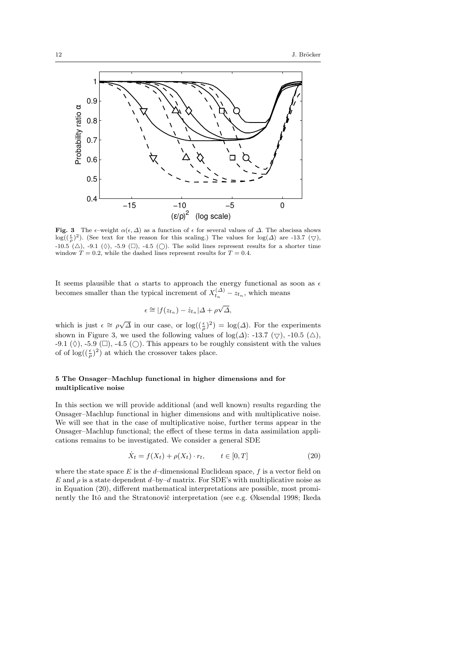

Fig. 3 The  $\epsilon$ –weight  $\alpha(\epsilon, \Delta)$  as a function of  $\epsilon$  for several values of  $\Delta$ . The abscissa shows  $log((\frac{\epsilon}{\rho})^2)$ . (See text for the reason for this scaling.) The values for  $log(\Delta)$  are -13.7 ( $\bigtriangledown$ ), -10.5 ( $\triangle$ ), -9.1 ( $\Diamond$ ), -5.9 ( $\Box$ ), -4.5 ( $\bigcirc$ ). The solid lines represent results for a shorter time window  $T = 0.2$ , while the dashed lines represent results for  $T = 0.4$ .

It seems plausible that  $\alpha$  starts to approach the energy functional as soon as  $\epsilon$ becomes smaller than the typical increment of  $X_{t_n}^{(\Delta)} - z_{t_n}$ , which means

$$
\epsilon \cong |f(z_{t_n}) - \dot{z}_{t_n}| \Delta + \rho \sqrt{\Delta},
$$

which is just  $\epsilon \cong \rho \sqrt{\Delta}$  in our case, or  $\log((\frac{\epsilon}{\rho})^2) = \log(\Delta)$ . For the experiments shown in Figure 3, we used the following values of log( $\Delta$ ): -13.7 ( $\bigtriangledown$ ), -10.5 ( $\triangle$ ),  $-9.1$  ( $\Diamond$ ),  $-5.9$  ( $\square$ ),  $-4.5$  ( $\square$ ). This appears to be roughly consistent with the values of of  $\log((\frac{\epsilon}{\rho})^2)$  at which the crossover takes place.

#### 5 The Onsager–Machlup functional in higher dimensions and for multiplicative noise

In this section we will provide additional (and well known) results regarding the Onsager–Machlup functional in higher dimensions and with multiplicative noise. We will see that in the case of multiplicative noise, further terms appear in the Onsager–Machlup functional; the effect of these terms in data assimilation applications remains to be investigated. We consider a general SDE

$$
\dot{X}_t = f(X_t) + \rho(X_t) \cdot r_t, \qquad t \in [0, T]
$$
\n
$$
(20)
$$

where the state space  $E$  is the d–dimensional Euclidean space,  $f$  is a vector field on E and  $\rho$  is a state dependent d–by–d matrix. For SDE's with multiplicative noise as in Equation (20), different mathematical interpretations are possible, most prominently the Itô and the Stratonovič interpretation (see e.g. Øksendal 1998; Ikeda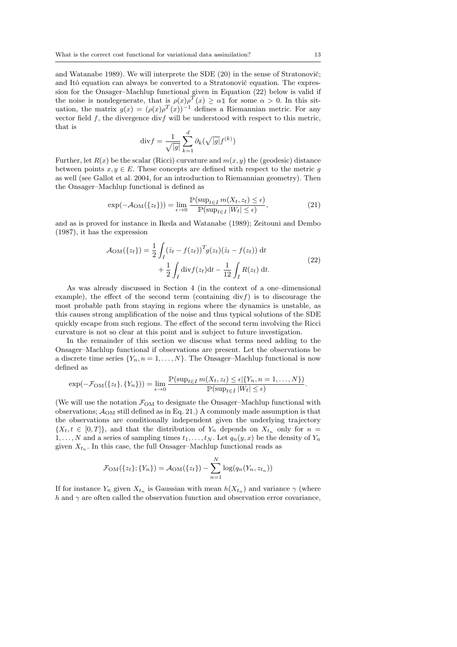and Watanabe 1989). We will interprete the SDE  $(20)$  in the sense of Stratonovič; and Itô equation can always be converted to a Stratonovič equation. The expression for the Onsager–Machlup functional given in Equation (22) below is valid if the noise is nondegenerate, that is  $\rho(x) \rho^{T}(x) \geq \alpha \mathbb{1}$  for some  $\alpha > 0$ . In this situation, the matrix  $g(x) = (\rho(x)\rho^{T}(x))^{-1}$  defines a Riemannian metric. For any vector field  $f$ , the divergence div $f$  will be understood with respect to this metric, that is

$$
\mathrm{div} f = \frac{1}{\sqrt{|g|}} \sum_{k=1}^{d} \partial_k(\sqrt{|g|} f^{(k)})
$$

Further, let  $R(x)$  be the scalar (Ricci) curvature and  $m(x, y)$  the (geodesic) distance between points  $x, y \in E$ . These concepts are defined with respect to the metric g as well (see Gallot et al. 2004, for an introduction to Riemannian geometry). Then the Onsager–Machlup functional is defined as

$$
\exp(-\mathcal{A}_{\text{OM}}(\{z_t\})) = \lim_{\epsilon \to 0} \frac{\mathbb{P}(\sup_{t \in I} m(X_t, z_t) \le \epsilon)}{\mathbb{P}(\sup_{t \in I} |W_t| \le \epsilon)},\tag{21}
$$

and as is proved for instance in Ikeda and Watanabe (1989); Zeitouni and Dembo (1987), it has the expression

$$
\mathcal{A}_{OM}(\{z_t\}) = \frac{1}{2} \int_I (\dot{z}_t - f(z_t))^T g(z_t) (\dot{z}_t - f(z_t)) dt + \frac{1}{2} \int_I \text{div} f(z_t) dt - \frac{1}{12} \int_I R(z_t) dt.
$$
\n(22)

As was already discussed in Section 4 (in the context of a one–dimensional example), the effect of the second term (containing  $div f$ ) is to discourage the most probable path from staying in regions where the dynamics is unstable, as this causes strong amplification of the noise and thus typical solutions of the SDE quickly escape from such regions. The effect of the second term involving the Ricci curvature is not so clear at this point and is subject to future investigation.

In the remainder of this section we discuss what terms need adding to the Onsager–Machlup functional if observations are present. Let the observations be a discrete time series  $\{Y_n, n = 1, \ldots, N\}$ . The Onsager–Machlup functional is now defined as

$$
\exp(-\mathcal{F}_{OM}(\{z_t\}, \{Y_n\})) = \lim_{\epsilon \to 0} \frac{\mathbb{P}(\sup_{t \in I} m(X_t, z_t) \leq \epsilon | \{Y_n, n = 1, \dots, N\})}{\mathbb{P}(\sup_{t \in I} |W_t| \leq \epsilon)}.
$$

(We will use the notation  $\mathcal{F}_{OM}$  to designate the Onsager–Machlup functional with observations;  $\mathcal{A}_{OM}$  still defined as in Eq. 21.) A commonly made assumption is that the observations are conditionally independent given the underlying trajectory  $\{X_t, t \in [0,T]\},$  and that the distribution of  $Y_n$  depends on  $X_{t_n}$  only for  $n =$  $1, \ldots, N$  and a series of sampling times  $t_1, \ldots, t_N$ . Let  $q_n(y, x)$  be the density of  $Y_n$ given  $X_{t_n}$ . In this case, the full Onsager–Machlup functional reads as

$$
\mathcal{F}_{OM}(\{z_t\}; \{Y_n\}) = \mathcal{A}_{OM}(\{z_t\}) - \sum_{n=1}^{N} \log(q_n(Y_n, z_{t_n}))
$$

If for instance  $Y_n$  given  $X_{t_n}$  is Gaussian with mean  $h(X_{t_n})$  and variance  $\gamma$  (where h and  $\gamma$  are often called the observation function and observation error covariance,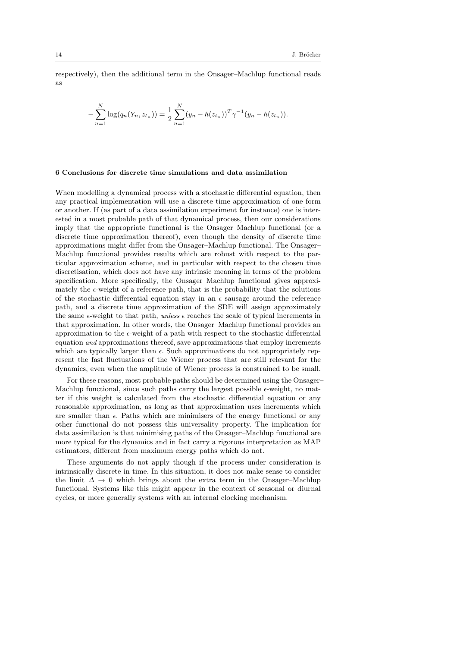respectively), then the additional term in the Onsager–Machlup functional reads as

$$
-\sum_{n=1}^{N}\log(q_n(Y_n, z_{t_n})) = \frac{1}{2}\sum_{n=1}^{N}(y_n - h(z_{t_n}))^T\gamma^{-1}(y_n - h(z_{t_n})).
$$

#### 6 Conclusions for discrete time simulations and data assimilation

When modelling a dynamical process with a stochastic differential equation, then any practical implementation will use a discrete time approximation of one form or another. If (as part of a data assimilation experiment for instance) one is interested in a most probable path of that dynamical process, then our considerations imply that the appropriate functional is the Onsager–Machlup functional (or a discrete time approximation thereof), even though the density of discrete time approximations might differ from the Onsager–Machlup functional. The Onsager– Machlup functional provides results which are robust with respect to the particular approximation scheme, and in particular with respect to the chosen time discretisation, which does not have any intrinsic meaning in terms of the problem specification. More specifically, the Onsager–Machlup functional gives approximately the  $\epsilon$ -weight of a reference path, that is the probability that the solutions of the stochastic differential equation stay in an  $\epsilon$  sausage around the reference path, and a discrete time approximation of the SDE will assign approximately the same  $\epsilon$ -weight to that path, unless  $\epsilon$  reaches the scale of typical increments in that approximation. In other words, the Onsager–Machlup functional provides an approximation to the  $\epsilon$ -weight of a path with respect to the stochastic differential equation and approximations thereof, save approximations that employ increments which are typically larger than  $\epsilon$ . Such approximations do not appropriately represent the fast fluctuations of the Wiener process that are still relevant for the dynamics, even when the amplitude of Wiener process is constrained to be small.

For these reasons, most probable paths should be determined using the Onsager– Machlup functional, since such paths carry the largest possible  $\epsilon$ -weight, no matter if this weight is calculated from the stochastic differential equation or any reasonable approximation, as long as that approximation uses increments which are smaller than  $\epsilon$ . Paths which are minimisers of the energy functional or any other functional do not possess this universality property. The implication for data assimilation is that minimising paths of the Onsager–Machlup functional are more typical for the dynamics and in fact carry a rigorous interpretation as MAP estimators, different from maximum energy paths which do not.

These arguments do not apply though if the process under consideration is intrinsically discrete in time. In this situation, it does not make sense to consider the limit  $\Delta \to 0$  which brings about the extra term in the Onsager–Machlup functional. Systems like this might appear in the context of seasonal or diurnal cycles, or more generally systems with an internal clocking mechanism.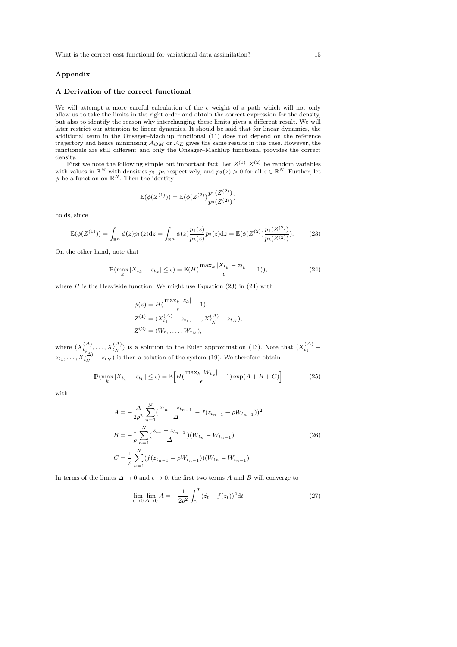#### Appendix

#### A Derivation of the correct functional

We will attempt a more careful calculation of the  $\epsilon$ –weight of a path which will not only allow us to take the limits in the right order and obtain the correct expression for the density, but also to identify the reason why interchanging these limits gives a different result. We will later restrict our attention to linear dynamics. It should be said that for linear dynamics, the additional term in the Onsager–Machlup functional (11) does not depend on the reference trajectory and hence minimising  $\mathcal{A}_{OM}$  or  $\mathcal{A}_E$  gives the same results in this case. However, the functionals are still different and only the Onsager-Machlup functional provides the correct density.

First we note the following simple but important fact. Let  $Z^{(1)}, Z^{(2)}$  be random variables with values in  $\mathbb{R}^N$  with densities  $p_1, p_2$  respectively, and  $p_2(z) > 0$  for all  $z \in \mathbb{R}^N$ . Further, let  $\phi$  be a function on  $\mathbb{R}^N$ . Then the identity

$$
\mathbb{E}(\phi(Z^{(1)})) = \mathbb{E}(\phi(Z^{(2)})\frac{p_1(Z^{(2)})}{p_2(Z^{(2)})})
$$

holds, since

$$
\mathbb{E}(\phi(Z^{(1)})) = \int_{\mathbb{R}^n} \phi(z) p_1(z) \mathrm{d}z = \int_{\mathbb{R}^n} \phi(z) \frac{p_1(z)}{p_2(z)} p_2(z) \mathrm{d}z = \mathbb{E}(\phi(Z^{(2)}) \frac{p_1(Z^{(2)})}{p_2(Z^{(2)})}).\tag{23}
$$

On the other hand, note that

$$
\mathbb{P}(\max_{k}|X_{t_k} - z_{t_k}| \le \epsilon) = \mathbb{E}(H(\frac{\max_{k}|X_{t_k} - z_{t_k}|}{\epsilon} - 1)),\tag{24}
$$

where  $H$  is the Heaviside function. We might use Equation (23) in (24) with

$$
\phi(z) = H(\frac{\max_k |z_k|}{\epsilon} - 1),
$$
  
\n
$$
Z^{(1)} = (X_{t_1}^{(\Delta)} - z_{t_1}, \dots, X_{t_N}^{(\Delta)} - z_{t_N}),
$$
  
\n
$$
Z^{(2)} = (W_{t_1}, \dots, W_{t_N}),
$$

where  $(X_{t_1}^{(\Delta)},...,X_{t_N}^{(\Delta)})$  is a solution to the Euler approximation (13). Note that  $(X_{t_1}^{(\Delta)}$  –  $(z_{t_1},...,X_{t_N}^{(\Delta)}-z_{t_N})$  is then a solution of the system (19). We therefore obtain

$$
\mathbb{P}(\max_{k}|X_{t_k} - z_{t_k}| \le \epsilon) = \mathbb{E}\Big[H\left(\frac{\max_{k}|W_{t_k}|}{\epsilon} - 1\right)\exp(A + B + C)\Big] \tag{25}
$$

with

$$
A = -\frac{\Delta}{2\rho^2} \sum_{n=1}^{N} \left( \frac{z_{t_n} - z_{t_{n-1}}}{\Delta} - f(z_{t_{n-1}} + \rho W_{t_{n-1}}) \right)^2
$$
  
\n
$$
B = -\frac{1}{\rho} \sum_{n=1}^{N} \left( \frac{z_{t_n} - z_{t_{n-1}}}{\Delta} \right) (W_{t_n} - W_{t_{n-1}})
$$
  
\n
$$
C = \frac{1}{\rho} \sum_{n=1}^{N} \left( f(z_{t_{n-1}} + \rho W_{t_{n-1}}) \right) (W_{t_n} - W_{t_{n-1}})
$$
\n(26)

In terms of the limits  $\Delta \to 0$  and  $\epsilon \to 0$ , the first two terms A and B will converge to

$$
\lim_{\epsilon \to 0} \lim_{\Delta \to 0} A = -\frac{1}{2\rho^2} \int_0^T (z_t - f(z_t))^2 dt
$$
 (27)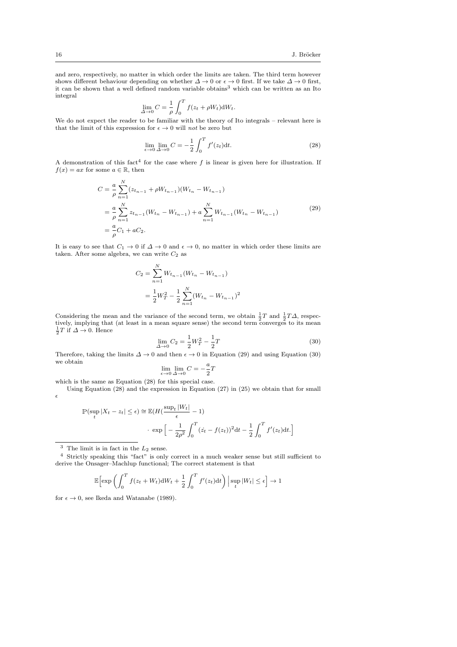and zero, respectively, no matter in which order the limits are taken. The third term however shows different behaviour depending on whether  $\Delta \to 0$  or  $\epsilon \to 0$  first. If we take  $\Delta \to 0$  first, it can be shown that a well defined random variable obtains<sup>3</sup> which can be written as an Ito integral

$$
\lim_{\Delta \to 0} C = \frac{1}{\rho} \int_0^T f(z_t + \rho W_t) dW_t.
$$

We do not expect the reader to be familiar with the theory of Ito integrals – relevant here is that the limit of this expression for  $\epsilon \to 0$  will not be zero but

$$
\lim_{\epsilon \to 0} \lim_{\Delta \to 0} C = -\frac{1}{2} \int_0^T f'(z_t) dt.
$$
\n(28)

A demonstration of this fact<sup>4</sup> for the case where f is linear is given here for illustration. If  $f(x) = ax$  for some  $a \in \mathbb{R}$ , then

$$
C = \frac{a}{\rho} \sum_{n=1}^{N} (z_{t_{n-1}} + \rho W_{t_{n-1}})(W_{t_n} - W_{t_{n-1}})
$$
  
= 
$$
\frac{a}{\rho} \sum_{n=1}^{N} z_{t_{n-1}}(W_{t_n} - W_{t_{n-1}}) + a \sum_{n=1}^{N} W_{t_{n-1}}(W_{t_n} - W_{t_{n-1}})
$$
  
= 
$$
\frac{a}{\rho} C_1 + aC_2.
$$
 (29)

It is easy to see that  $C_1 \to 0$  if  $\Delta \to 0$  and  $\epsilon \to 0$ , no matter in which order these limits are taken. After some algebra, we can write  $C_2$  as

$$
C_2 = \sum_{n=1}^{N} W_{t_{n-1}} (W_{t_n} - W_{t_{n-1}})
$$
  
=  $\frac{1}{2} W_T^2 - \frac{1}{2} \sum_{n=1}^{N} (W_{t_n} - W_{t_{n-1}})^2$ 

Considering the mean and the variance of the second term, we obtain  $\frac{1}{2}T$  and  $\frac{1}{2}T\Delta$ , respectively, implying that (at least in a mean square sense) the second term converges to its mean  $\frac{1}{2}T$  if  $\Delta \to 0$ . Hence

$$
\lim_{\Delta \to 0} C_2 = \frac{1}{2} W_T^2 - \frac{1}{2} T \tag{30}
$$

Therefore, taking the limits  $\Delta \to 0$  and then  $\epsilon \to 0$  in Equation (29) and using Equation (30) we obtain a

$$
\lim_{\epsilon \to 0} \lim_{\Delta \to 0} C = -\frac{a}{2}T
$$

which is the same as Equation (28) for this special case.

Using Equation (28) and the expression in Equation (27) in (25) we obtain that for small  $\epsilon$ 

$$
\mathbb{P}(\sup_{t} |X_{t} - z_{t}| \leq \epsilon) \approx \mathbb{E}(H(\frac{\sup_{t} |W_{t}|}{\epsilon} - 1)
$$

$$
\cdot \exp\left[-\frac{1}{2\rho^{2}} \int_{0}^{T} (\dot{z}_{t} - f(z_{t}))^{2} dt - \frac{1}{2} \int_{0}^{T} f'(z_{t}) dt.\right]
$$

 $^3\,$  The limit is in fact in the  $L_2$  sense.

 $^4\,$  Strictly speaking this "fact" is only correct in a much weaker sense but still sufficient to derive the Onsager–Machlup functional; The correct statement is that

$$
\mathbb{E}\Big[\exp\left(\int_0^T f(z_t + W_t)\mathrm{d}W_t + \frac{1}{2}\int_0^T f'(z_t)\mathrm{d}t\right) \Big|\sup_t|W_t| \le \epsilon\Big] \to 1
$$

for  $\epsilon \to 0$ , see Ikeda and Watanabe (1989).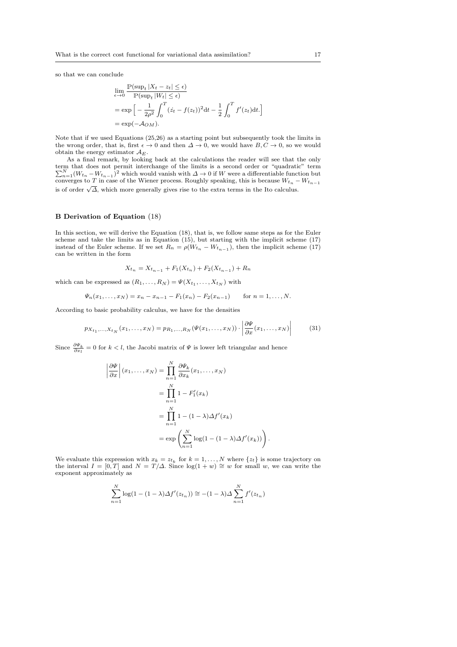so that we can conclude

$$
\lim_{\epsilon \to 0} \frac{\mathbb{P}(\sup_t |X_t - z_t| \le \epsilon)}{\mathbb{P}(\sup_t |W_t| \le \epsilon)}
$$
\n
$$
= \exp\left[-\frac{1}{2\rho^2} \int_0^T (\dot{z}_t - f(z_t))^2 dt - \frac{1}{2} \int_0^T f'(z_t) dt\right]
$$
\n
$$
= \exp(-\mathcal{A}_{OM}).
$$

Note that if we used Equations (25,26) as a starting point but subsequently took the limits in the wrong order, that is, first  $\epsilon \to 0$  and then  $\Delta \to 0$ , we would have  $B, C \to 0$ , so we would obtain the energy estimator  $\mathcal{A}_E$ .

As a final remark, by looking back at the calculations the reader will see that the only term that does not permit interchange of the limits is a second order or "quadratic" term  $\sum_{n=1}^{N} (W_{t_n} - W_{t_{n-1}})^2$  which would vanish with  $\Delta \to 0$  if W were a differentiable function but converges to T in case of the Wiener process. Roughly speaking, this is because  $W_{t_n} - W_{t_{n-1}}$ is of order  $\sqrt{\Delta}$ , which more generally gives rise to the extra terms in the Ito calculus.

#### B Derivation of Equation (18)

I I I I

In this section, we will derive the Equation (18), that is, we follow same steps as for the Euler scheme and take the limits as in Equation  $(15)$ , but starting with the implicit scheme  $(17)$ instead of the Euler scheme. If we set  $R_n = \rho(W_{t_n} - W_{t_{n-1}})$ , then the implicit scheme (17) can be written in the form

$$
X_{t_n} = X_{t_{n-1}} + F_1(X_{t_n}) + F_2(X_{t_{n-1}}) + R_n
$$

which can be expressed as  $(R_1, \ldots, R_N) = \Psi(X_{t_1}, \ldots, X_{t_N})$  with

$$
\Psi_n(x_1,\ldots,x_N)=x_n-x_{n-1}-F_1(x_n)-F_2(x_{n-1}) \qquad \text{for } n=1,\ldots,N.
$$

According to basic probability calculus, we have for the densities

$$
p_{X_{t_1},...,X_{t_N}}(x_1,...,x_N) = p_{R_1,...,R_N}(\Psi(x_1,...,x_N)) \cdot \left| \frac{\partial \Psi}{\partial x}(x_1,...,x_N) \right| \tag{31}
$$

Since  $\frac{\partial \Psi_k}{\partial x_l} = 0$  for  $k < l$ , the Jacobi matrix of  $\Psi$  is lower left triangular and hence

$$
\frac{\partial \Psi}{\partial x} \Big| (x_1, \dots, x_N) = \prod_{n=1}^N \frac{\partial \Psi_k}{\partial x_k} (x_1, \dots, x_N)
$$
  
= 
$$
\prod_{n=1}^N 1 - F'_1(x_k)
$$
  
= 
$$
\prod_{n=1}^N 1 - (1 - \lambda) \Delta f'(x_k)
$$
  
= 
$$
\exp \left( \sum_{n=1}^N \log(1 - (1 - \lambda) \Delta f'(x_k)) \right).
$$

We evaluate this expression with  $x_k = z_{t_k}$  for  $k = 1, ..., N$  where  $\{z_t\}$  is some trajectory on the interval  $I = [0, T]$  and  $N = T/\Delta$ . Since  $\log(1 + w) \cong w$  for small w, we can write the exponent approximately as

$$
\sum_{n=1}^{N} \log(1 - (1 - \lambda)\Delta f'(z_{t_n})) \approx -(1 - \lambda)\Delta \sum_{n=1}^{N} f'(z_{t_n})
$$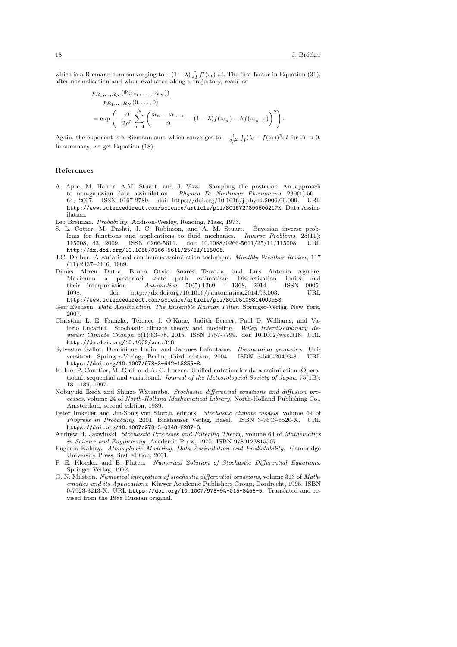which is a Riemann sum converging to  $-(1 - \lambda) \int_I f'(z_t) dt$ . The first factor in Equation (31), after normalisation and when evaluated along a trajectory, reads as

$$
\frac{p_{R_1,...,R_N}(\Psi(z_{t_1},...,z_{t_N}))}{p_{R_1,...,R_N}(0,...,0)}
$$
\n
$$
= \exp\left(-\frac{\Delta}{2\rho^2}\sum_{n=1}^N \left(\frac{z_{t_n} - z_{t_{n-1}}}{\Delta} - (1-\lambda)f(z_{t_n}) - \lambda f(z_{t_{n-1}})\right)^2\right).
$$

Again, the exponent is a Riemann sum which converges to  $-\frac{1}{2\rho^2} \int_I (\dot{z}_t - f(z_t))^2 dt$  for  $\Delta \to 0$ . In summary, we get Equation (18).

#### References

- A. Apte, M. Hairer, A.M. Stuart, and J. Voss. Sampling the posterior: An approach to non-gaussian data assimilation. Physica D: Nonlinear Phenomena,  $230(1):50$ 64, 2007. ISSN 0167-2789. doi: https://doi.org/10.1016/j.physd.2006.06.009. URL http://www.sciencedirect.com/science/article/pii/S016727890600217X. Data Assimilation.
- Leo Breiman. Probability. Addison-Wesley, Reading, Mass, 1973.
- S. L. Cotter, M. Dashti, J. C. Robinson, and A. M. Stuart. Bayesian inverse problems for functions and applications to fluid mechanics. Inverse Problems, 25(11): 115008, 43, 2009. ISSN 0266-5611. doi: 10.1088/0266-5611/25/11/115008. URL http://dx.doi.org/10.1088/0266-5611/25/11/115008.
- J.C. Derber. A variational continuous assimilation technique. Monthly Weather Review, 117 (11):2437–2446, 1989.
- Dimas Abreu Dutra, Bruno Otvio Soares Teixeira, and Luis Antonio Aguirre. Maximum a posteriori state path estimation: Discretization limits and<br>their interpretation  $Automation = 50(5) \cdot 1360 = 1368 \cdot 2014$  ISSN 0005their interpretation. Automatica,  $50(5):1360 - 1368$ , 2014. 1098. doi: http://dx.doi.org/10.1016/j.automatica.2014.03.003. URL http://www.sciencedirect.com/science/article/pii/S0005109814000958.
- Geir Evensen. Data Assimilation. The Ensemble Kalman Filter. Springer-Verlag, New York, 2007.
- Christian L. E. Franzke, Terence J. O'Kane, Judith Berner, Paul D. Williams, and Valerio Lucarini. Stochastic climate theory and modeling. Wiley Interdisciplinary Reviews: Climate Change, 6(1):63–78, 2015. ISSN 1757-7799. doi: 10.1002/wcc.318. URL http://dx.doi.org/10.1002/wcc.318.
- Sylvestre Gallot, Dominique Hulin, and Jacques Lafontaine. Riemannian geometry. Universitext. Springer-Verlag. Berlin. third edition. 2004. ISBN 3-540-20493-8. URL versitext. Springer-Verlag, Berlin, third edition, 2004. ISBN 3-540-20493-8. https://doi.org/10.1007/978-3-642-18855-8.
- K. Ide, P. Courtier, M. Ghil, and A. C. Lorenc. Unified notation for data assimilation: Operational, sequential and variational. Journal of the Meteorologcial Society of Japan, 75(1B): 181–189, 1997.
- Nobuyuki Ikeda and Shinzo Watanabe. Stochastic differential equations and diffusion processes, volume 24 of North-Holland Mathematical Library. North-Holland Publishing Co., Amsterdam, second edition, 1989.
- Peter Imkeller and Jin-Song von Storch, editors. Stochastic climate models, volume 49 of Progress in Probability, 2001. Birkhäuser Verlag, Basel. ISBN 3-7643-6520-X. URL https://doi.org/10.1007/978-3-0348-8287-3.
- Andrew H. Jazwinski. Stochastic Processes and Filtering Theory, volume 64 of Mathematics in Science and Engineering. Academic Press, 1970. ISBN 9780123815507.
- Eugenia Kalnay. Atmospheric Modeling, Data Assimilation and Predictability. Cambridge University Press, first edition, 2001.
- P. E. Kloeden and E. Platen. Numerical Solution of Stochastic Differential Equations. Springer Verlag, 1992.
- G. N. Milstein. Numerical integration of stochastic differential equations, volume 313 of Mathematics and its Applications. Kluwer Academic Publishers Group, Dordrecht, 1995. ISBN 0-7923-3213-X. URL https://doi.org/10.1007/978-94-015-8455-5. Translated and revised from the 1988 Russian original.